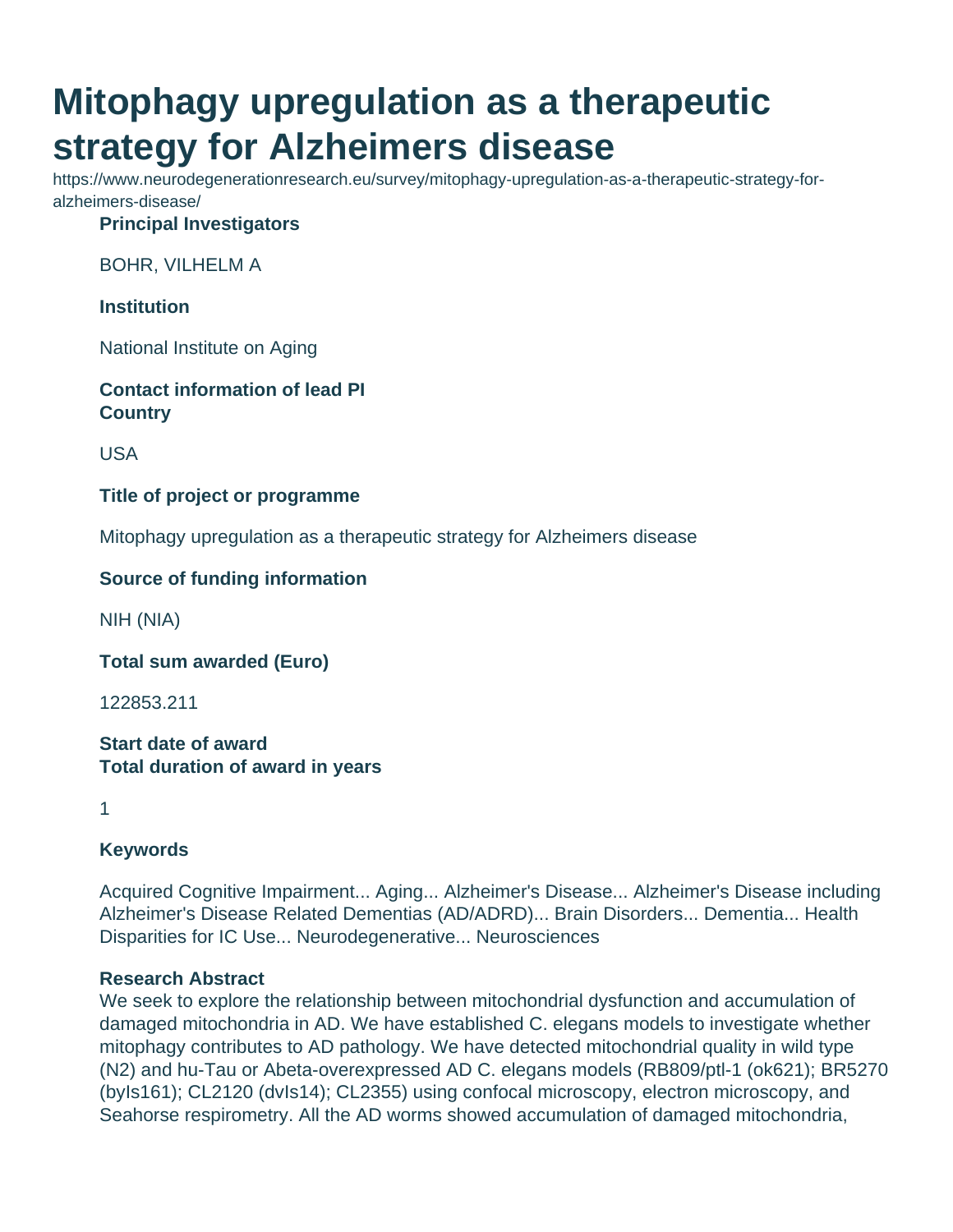# **Mitophagy upregulation as a therapeutic strategy for Alzheimers disease**

https://www.neurodegenerationresearch.eu/survey/mitophagy-upregulation-as-a-therapeutic-strategy-foralzheimers-disease/

#### **Principal Investigators**

BOHR, VILHELM A

### **Institution**

National Institute on Aging

#### **Contact information of lead PI Country**

USA

#### **Title of project or programme**

Mitophagy upregulation as a therapeutic strategy for Alzheimers disease

#### **Source of funding information**

NIH (NIA)

**Total sum awarded (Euro)**

122853.211

**Start date of award Total duration of award in years**

1

## **Keywords**

Acquired Cognitive Impairment... Aging... Alzheimer's Disease... Alzheimer's Disease including Alzheimer's Disease Related Dementias (AD/ADRD)... Brain Disorders... Dementia... Health Disparities for IC Use... Neurodegenerative... Neurosciences

#### **Research Abstract**

We seek to explore the relationship between mitochondrial dysfunction and accumulation of damaged mitochondria in AD. We have established C. elegans models to investigate whether mitophagy contributes to AD pathology. We have detected mitochondrial quality in wild type (N2) and hu-Tau or Abeta-overexpressed AD C. elegans models (RB809/ptl-1 (ok621); BR5270 (byIs161); CL2120 (dvIs14); CL2355) using confocal microscopy, electron microscopy, and Seahorse respirometry. All the AD worms showed accumulation of damaged mitochondria,